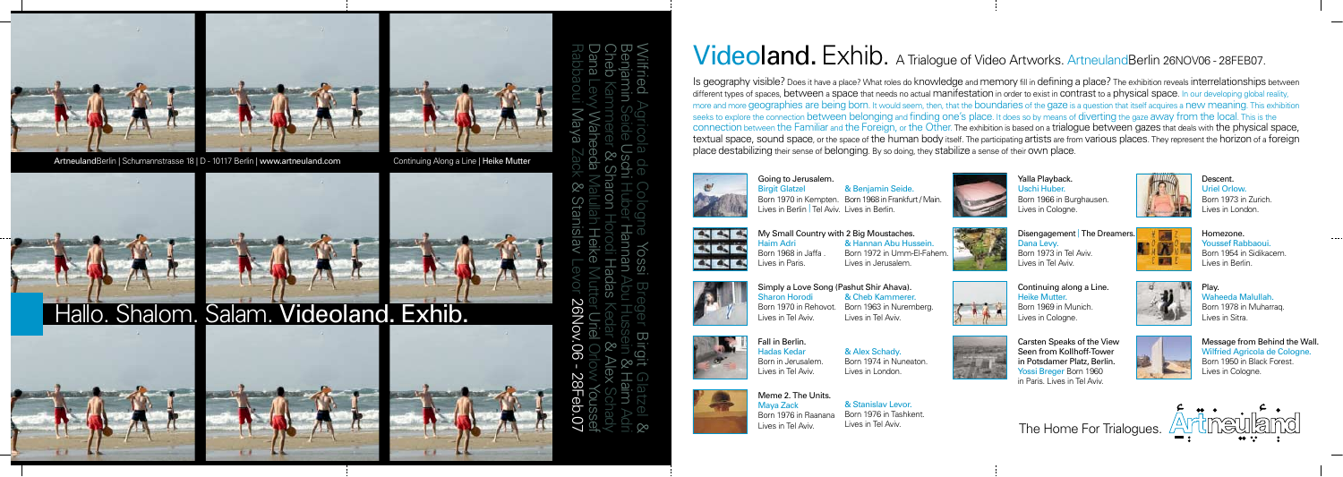



ArtneulandBerlin | Schumannstrasse 18 | D - 10117 Berlin | www.artneuland.com Continuing Along a Line | Heike Mutter



The Home For Trialogues.

Is geography visible? Does it have a place? What roles do knowledge and memory fill in defining a place? The exhibition reveals interrelationships between different types of spaces, between a space that needs no actual manifestation in order to exist in contrast to a physical space. In our developing global reality, more and more geographies are being born. It would seem, then, that the boundaries of the gaze is a question that itself acquires a new meaning. This exhibition seeks to explore the connection between belonging and finding one's place. It does so by means of diverting the gaze away from the local. This is the connection between the Familiar and the Foreign, or the Other. The exhibition is based on a trialogue between gazes that deals with the physical space, textual space, sound space, or the space of the human body itself. The participating artists are from various places. They represent the horizon of a foreign place destabilizing their sense of belonging. By so doing, they stabilize a sense of their own place.



Yalla Playback. Uschi Huber.

Born 1966 in Burghausen.













Lives in Tel Aviv.

Play. Waheeda Malullah. Born 1978 in Muharraq. Lives in Sitra.

Wilfried Agricola de Cologne Yossi Breger Birgit Glatzel & Rabbaoui Maya Zack & Stanislav Levor 26Nov.06 - 28Feb.07Dana Levy Waheeda Malullah Heike Mutter Uriel Orlow Youssef Cheb Kammerer & Sharon Horodi Hadas Kedar & Alex Schady Benjamin Seide Uschi Huber Hannan Abu Hussein & Haim Adri **90 YON 09** M<br>28Feb.07

## Videoland. Exhib. A Trialogue of Video Artworks. ArtneulandBerlin 26NOV06 - 28FEB07.

Continuing along a Line. Heike Mutter. Born 1969 in Munich. Lives in Cologne.

Descent. Uriel Orlow. Born 1973 in Zurich. Lives in London.

Homezone. Youssef Rabbaoui. Born 1954 in Sidikacem. Lives in Berlin.

Message from Behind the Wall. Wilfried Agricola de Cologne. Born 1950 in Black Forest. Lives in Cologne.



My Small Country with 2 Big Moustaches. Haim Adri Born 1968 in Jaffa . Lives in Paris. & Hannan Abu Hussein. Born 1972 in Umm-El-Fahem. Lives in Jerusalem.

Going to Jerusalem. Birgit Glatzel Born 1970 in Kempten. Born 1968 in Frankfurt / Main. Lives in Berlin | Tel Aviv. Lives in Berlin. & Benjamin Seide.



Simply a Love Song (Pashut Shir Ahava).



Sharon Horodi Born 1970 in Rehovot. Lives in Tel Aviv.

& Cheb Kammerer.



Lives in Tel Aviv.

Fall in Berlin. Hadas Kedar Born in Jerusalem. Lives in Tel Aviv.

& Alex Schady.

Born 1974 in Nuneaton.

Lives in London.

Meme 2. The Units. Maya Zack Born 1976 in Raanana Lives in Tel Aviv.

& Stanislav Levor. Born 1976 in Tashkent. Lives in Tel Aviv.









Carsten Speaks of the View Seen from Kollhoff-Tower

in Potsdamer Platz, Berlin. Yossi Breger Born 1960 in Paris. Lives in Tel Aviv.